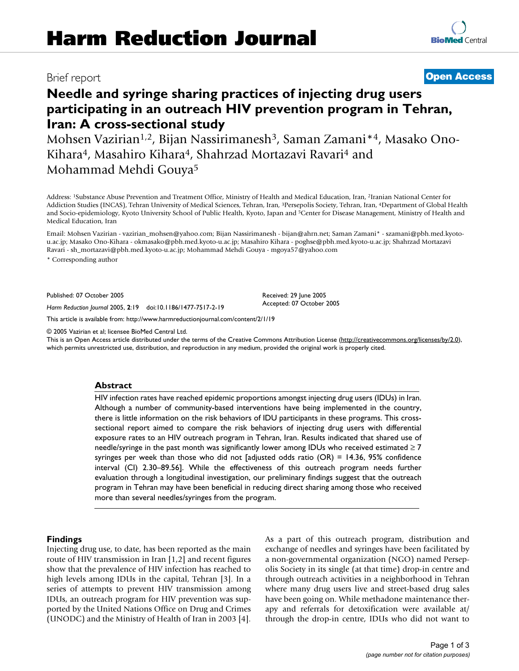## Brief report **[Open Access](http://www.biomedcentral.com/info/about/charter/)**

# **[BioMed](http://www.biomedcentral.com/)** Central

**Needle and syringe sharing practices of injecting drug users participating in an outreach HIV prevention program in Tehran, Iran: A cross-sectional study**

Mohsen Vazirian<sup>1,2</sup>, Bijan Nassirimanesh<sup>3</sup>, Saman Zamani<sup>\*4</sup>, Masako Ono-Kihara4, Masahiro Kihara4, Shahrzad Mortazavi Ravari4 and Mohammad Mehdi Gouya5

Address: 1Substance Abuse Prevention and Treatment Office, Ministry of Health and Medical Education, Iran, 2Iranian National Center for Addiction Studies (INCAS), Tehran University of Medical Sciences, Tehran, Iran, 3Persepolis Society, Tehran, Iran, 4Department of Global Health and Socio-epidemiology, Kyoto University School of Public Health, Kyoto, Japan and <sup>5</sup>Center for Disease Management, Ministry of Health and Medical Education, Iran

Email: Mohsen Vazirian - vazirian\_mohsen@yahoo.com; Bijan Nassirimanesh - bijan@ahrn.net; Saman Zamani\* - szamani@pbh.med.kyotou.ac.jp; Masako Ono-Kihara - okmasako@pbh.med.kyoto-u.ac.jp; Masahiro Kihara - poghse@pbh.med.kyoto-u.ac.jp; Shahrzad Mortazavi Ravari - sh\_mortazavi@pbh.med.kyoto-u.ac.jp; Mohammad Mehdi Gouya - mgoya57@yahoo.com

\* Corresponding author

Published: 07 October 2005

*Harm Reduction Journal* 2005, **2**:19 doi:10.1186/1477-7517-2-19

[This article is available from: http://www.harmreductionjournal.com/content/2/1/19](http://www.harmreductionjournal.com/content/2/1/19)

© 2005 Vazirian et al; licensee BioMed Central Ltd.

This is an Open Access article distributed under the terms of the Creative Commons Attribution License [\(http://creativecommons.org/licenses/by/2.0\)](http://creativecommons.org/licenses/by/2.0), which permits unrestricted use, distribution, and reproduction in any medium, provided the original work is properly cited.

Received: 29 June 2005 Accepted: 07 October 2005

#### **Abstract**

HIV infection rates have reached epidemic proportions amongst injecting drug users (IDUs) in Iran. Although a number of community-based interventions have being implemented in the country, there is little information on the risk behaviors of IDU participants in these programs. This crosssectional report aimed to compare the risk behaviors of injecting drug users with differential exposure rates to an HIV outreach program in Tehran, Iran. Results indicated that shared use of needle/syringe in the past month was significantly lower among IDUs who received estimated  $\geq 7$ syringes per week than those who did not [adjusted odds ratio (OR) = 14.36, 95% confidence interval (CI) 2.30–89.56]. While the effectiveness of this outreach program needs further evaluation through a longitudinal investigation, our preliminary findings suggest that the outreach program in Tehran may have been beneficial in reducing direct sharing among those who received more than several needles/syringes from the program.

#### **Findings**

Injecting drug use, to date, has been reported as the main route of HIV transmission in Iran [1,2] and recent figures show that the prevalence of HIV infection has reached to high levels among IDUs in the capital, Tehran [3]. In a series of attempts to prevent HIV transmission among IDUs, an outreach program for HIV prevention was supported by the United Nations Office on Drug and Crimes (UNODC) and the Ministry of Health of Iran in 2003 [4]. As a part of this outreach program, distribution and exchange of needles and syringes have been facilitated by a non-governmental organization (NGO) named Persepolis Society in its single (at that time) drop-in centre and through outreach activities in a neighborhood in Tehran where many drug users live and street-based drug sales have been going on. While methadone maintenance therapy and referrals for detoxification were available at/ through the drop-in centre, IDUs who did not want to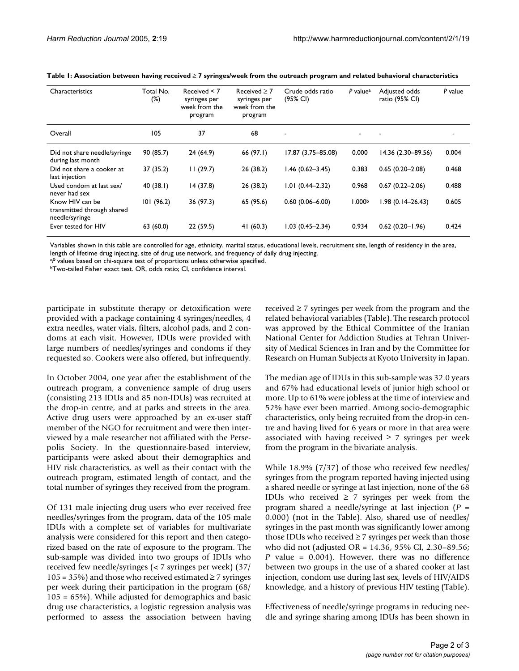| Characteristics                                                 | Total No.<br>$(\%)$ | Received $< 7$<br>syringes per<br>week from the<br>program | Received $\geq 7$<br>syringes per<br>week from the<br>program | Crude odds ratio<br>(95% CI) | P value <sup>a</sup> | Adjusted odds<br>ratio (95% CI) | P value |
|-----------------------------------------------------------------|---------------------|------------------------------------------------------------|---------------------------------------------------------------|------------------------------|----------------------|---------------------------------|---------|
| Overall                                                         | 105                 | 37                                                         | 68                                                            |                              |                      |                                 |         |
| Did not share needle/syringe<br>during last month               | 90(85.7)            | 24(64.9)                                                   | 66(97.1)                                                      | 17.87 (3.75-85.08)           | 0.000                | 14.36 (2.30-89.56)              | 0.004   |
| Did not share a cooker at<br>last injection                     | 37 (35.2)           | 11(29.7)                                                   | 26(38.2)                                                      | $1.46(0.62 - 3.45)$          | 0.383                | $0.65(0.20 - 2.08)$             | 0.468   |
| Used condom at last sex/<br>never had sex                       | 40(38.1)            | 14(37.8)                                                   | 26(38.2)                                                      | $1.01(0.44 - 2.32)$          | 0.968                | $0.67(0.22 - 2.06)$             | 0.488   |
| Know HIV can be<br>transmitted through shared<br>needle/syringe | 101(96.2)           | 36 (97.3)                                                  | 65 (95.6)                                                     | $0.60(0.06 - 6.00)$          | 1.000 <sup>b</sup>   | $1.98(0.14 - 26.43)$            | 0.605   |
| Ever tested for HIV                                             | 63(60.0)            | 22(59.5)                                                   | 41(60.3)                                                      | $1.03(0.45 - 2.34)$          | 0.934                | $0.62(0.20 - 1.96)$             | 0.424   |

| Table 1: Association between having received $\geq$ 7 syringes/week from the outreach program and related behavioral characteristics |  |  |  |  |  |
|--------------------------------------------------------------------------------------------------------------------------------------|--|--|--|--|--|
|--------------------------------------------------------------------------------------------------------------------------------------|--|--|--|--|--|

Variables shown in this table are controlled for age, ethnicity, marital status, educational levels, recruitment site, length of residency in the area, length of lifetime drug injecting, size of drug use network, and frequency of daily drug injecting.

<sup>a</sup>*P* values based on chi-square test of proportions unless otherwise specified.

bTwo-tailed Fisher exact test. OR, odds ratio; CI, confidence interval.

participate in substitute therapy or detoxification were provided with a package containing 4 syringes/needles, 4 extra needles, water vials, filters, alcohol pads, and 2 condoms at each visit. However, IDUs were provided with large numbers of needles/syringes and condoms if they requested so. Cookers were also offered, but infrequently.

In October 2004, one year after the establishment of the outreach program, a convenience sample of drug users (consisting 213 IDUs and 85 non-IDUs) was recruited at the drop-in centre, and at parks and streets in the area. Active drug users were approached by an ex-user staff member of the NGO for recruitment and were then interviewed by a male researcher not affiliated with the Persepolis Society. In the questionnaire-based interview, participants were asked about their demographics and HIV risk characteristics, as well as their contact with the outreach program, estimated length of contact, and the total number of syringes they received from the program.

Of 131 male injecting drug users who ever received free needles/syringes from the program, data of the 105 male IDUs with a complete set of variables for multivariate analysis were considered for this report and then categorized based on the rate of exposure to the program. The sub-sample was divided into two groups of IDUs who received few needle/syringes (< 7 syringes per week) (37/ 105 = 35%) and those who received estimated  $\geq$  7 syringes per week during their participation in the program (68/ 105 = 65%). While adjusted for demographics and basic drug use characteristics, a logistic regression analysis was performed to assess the association between having received  $\geq$  7 syringes per week from the program and the related behavioral variables (Table). The research protocol was approved by the Ethical Committee of the Iranian National Center for Addiction Studies at Tehran University of Medical Sciences in Iran and by the Committee for Research on Human Subjects at Kyoto University in Japan.

The median age of IDUs in this sub-sample was 32.0 years and 67% had educational levels of junior high school or more. Up to 61% were jobless at the time of interview and 52% have ever been married. Among socio-demographic characteristics, only being recruited from the drop-in centre and having lived for 6 years or more in that area were associated with having received  $\geq$  7 syringes per week from the program in the bivariate analysis.

While 18.9% (7/37) of those who received few needles/ syringes from the program reported having injected using a shared needle or syringe at last injection, none of the 68 IDUs who received  $\geq 7$  syringes per week from the program shared a needle/syringe at last injection (*P* = 0.000) (not in the Table). Also, shared use of needles/ syringes in the past month was significantly lower among those IDUs who received  $\geq$  7 syringes per week than those who did not (adjusted OR = 14.36, 95% CI, 2.30–89.56; *P* value = 0.004). However, there was no difference between two groups in the use of a shared cooker at last injection, condom use during last sex, levels of HIV/AIDS knowledge, and a history of previous HIV testing (Table).

Effectiveness of needle/syringe programs in reducing needle and syringe sharing among IDUs has been shown in